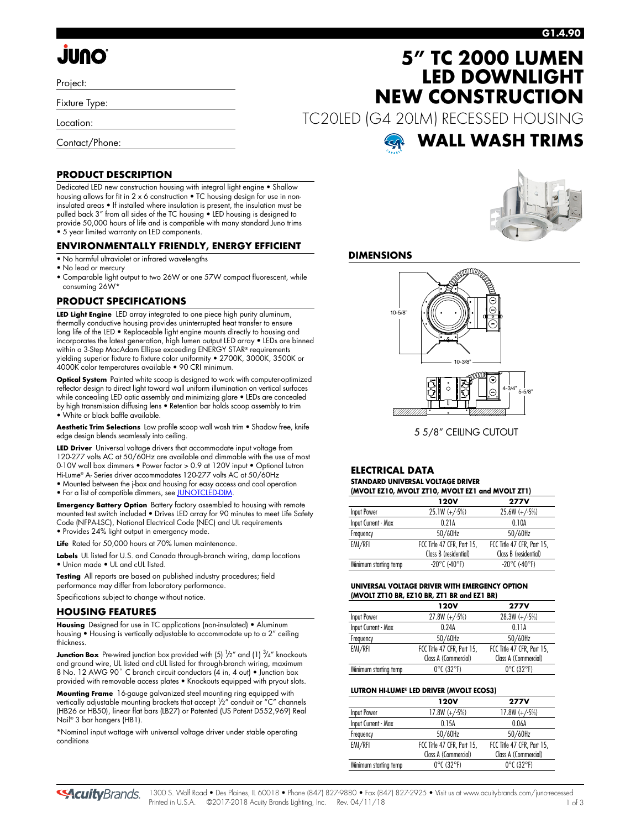# **JUNO**

Project:

Fixture Type:

Location:

Contact/Phone:

### **G1.4.90**

# **5" TC 2000 LUMEN LED DOWNLIGHT NEW CONSTRUCTION**

TC20LED (G4 20LM) RECESSED HOUSING

# **WALL WASH TRIMS**

# **PRODUCT DESCRIPTION**

Dedicated LED new construction housing with integral light engine • Shallow housing allows for fit in 2 x 6 construction • TC housing design for use in noninsulated areas • If installed where insulation is present, the insulation must be pulled back 3" from all sides of the TC housing • LED housing is designed to provide 50,000 hours of life and is compatible with many standard Juno trims • 5 year limited warranty on LED components.

## **ENVIRONMENTALLY FRIENDLY, ENERGY EFFICIENT**

- No harmful ultraviolet or infrared wavelengths
- No lead or mercury
- Comparable light output to two 26W or one 57W compact fluorescent, while consuming 26W\*

## **PRODUCT SPECIFICATIONS**

**LED Light Engine** LED array integrated to one piece high purity aluminum, thermally conductive housing provides uninterrupted heat transfer to ensure long life of the LED • Replaceable light engine mounts directly to housing and incorporates the latest generation, high lumen output LED array • LEDs are binned within a 3-Step MacAdam Ellipse exceeding ENERGY STAR® requirements yielding superior fixture to fixture color uniformity • 2700K, 3000K, 3500K or 4000K color temperatures available • 90 CRI minimum.

**Optical System** Painted white scoop is designed to work with computer-optimized reflector design to direct light toward wall uniform illumination on vertical surfaces while concealing LED optic assembly and minimizing glare • LEDs are concealed by high transmission diffusing lens • Retention bar holds scoop assembly to trim • White or black baffle available.

**Aesthetic Trim Selections** Low profile scoop wall wash trim • Shadow free, knife edge design blends seamlessly into ceiling.

**LED Driver** Universal voltage drivers that accommodate input voltage from 120-277 volts AC at 50/60Hz are available and dimmable with the use of most 0-10V wall box dimmers • Power factor > 0.9 at 120V input • Optional Lutron Hi-Lume® A- Series driver accommodates 120-277 volts AC at 50/60Hz • Mounted between the j-box and housing for easy access and cool operation

• For a list of compatible dimmers, se[e JUNOTCLED-DIM.](http://www.acuitybrands.com/shell/-/media/Files/Acuity/Other/JUNOTCLED-DIM.pdf)

**Emergency Battery Option** Battery factory assembled to housing with remote mounted test switch included • Drives LED array for 90 minutes to meet Life Safety Code (NFPA-LSC), National Electrical Code (NEC) and UL requirements • Provides 24% light output in emergency mode.

Life Rated for 50,000 hours at 70% lumen maintenance.

**Labels** UL listed for U.S. and Canada through-branch wiring, damp locations • Union made • UL and cUL listed.

**Testing** All reports are based on published industry procedures; field performance may differ from laboratory performance. Specifications subject to change without notice.

#### **HOUSING FEATURES**

**Housing** Designed for use in TC applications (non-insulated) • Aluminum housing • Housing is vertically adjustable to accommodate up to a 2" ceiling thickness.

**Junction Box** Pre-wired junction box provided with (5) <sup>1</sup>/2" and (1) <sup>3</sup>/4" knockouts and ground wire, UL listed and cUL listed for through-branch wiring, maximum 8 No. 12 AWG 90° C branch circuit conductors (4 in, 4 out) • Junction box provided with removable access plates • Knockouts equipped with pryout slots.

**Mounting Frame** 16-gauge galvanized steel mounting ring equipped with vertically adjustable mounting brackets that accept  $\frac{1}{2}$ " conduit or "C" channels (HB26 or HB50), linear flat bars (LB27) or Patented (US Patent D552,969) Real Nail® 3 bar hangers (HB1).

\*Nominal input wattage with universal voltage driver under stable operating conditions



## **DIMENSIONS**



5 5/8" CEILING CUTOUT

#### **ELECTRICAL DATA STANDARD UNIVERSAL VOLTAGE DRIVER (MVOLT EZ10, MVOLT ZT10, MVOLT EZ1 and MVOLT ZT1)**

|                       | $(0.01$ . The state $(0.01)$ in the state $(0.01)$ in the state $(0.01)$ in the state $(0.01)$ |                            |  |  |  |  |  |  |  |  |  |
|-----------------------|------------------------------------------------------------------------------------------------|----------------------------|--|--|--|--|--|--|--|--|--|
|                       | 120V                                                                                           | <b>277V</b>                |  |  |  |  |  |  |  |  |  |
| Input Power           | $25.1W (+/-5%)$                                                                                | $25.6W (+/-5%)$            |  |  |  |  |  |  |  |  |  |
| Input Current - Max   | 0.21A                                                                                          | 0.10A                      |  |  |  |  |  |  |  |  |  |
| Frequency             | 50/60Hz                                                                                        | 50/60Hz                    |  |  |  |  |  |  |  |  |  |
| EMI/RFI               | FCC Title 47 CFR, Part 15,                                                                     | FCC Title 47 CFR, Part 15, |  |  |  |  |  |  |  |  |  |
|                       | Class B (residential)                                                                          | Class B (residential)      |  |  |  |  |  |  |  |  |  |
| Minimum starting temp | $-20^{\circ}$ C (-40°F)                                                                        | $-20^{\circ}$ C (-40°F)    |  |  |  |  |  |  |  |  |  |

#### **UNIVERSAL VOLTAGE DRIVER WITH EMERGENCY OPTION (MVOLT ZT10 BR, EZ10 BR, ZT1 BR and EZ1 BR)**

| <b>120V</b>                     | <b>277V</b>                     |
|---------------------------------|---------------------------------|
| $27.8W (+/-5%)$                 | $28.3W (+/-5%)$                 |
| 0.24A                           | 0.11A                           |
| 50/60Hz                         | 50/60Hz                         |
| FCC Title 47 CFR, Part 15,      | FCC Title 47 CFR, Part 15,      |
| Class A (Commercial)            | Class A (Commercial)            |
| $0^{\circ}$ C (32 $^{\circ}$ F) | $0^{\circ}$ C (32 $^{\circ}$ F) |
|                                 |                                 |

### **LUTRON HI-LUME® LED DRIVER (MVOLT ECOS3)**

|                       | 120V                            | <b>277V</b>                     |
|-----------------------|---------------------------------|---------------------------------|
| Input Power           | $17.8W (+/-5%)$                 | $17.8W (+/-5%)$                 |
| Input Current - Max   | 0.15A                           | 0.06A                           |
| Frequency             | 50/60Hz                         | 50/60Hz                         |
| EMI/RFI               | FCC Title 47 CFR, Part 15,      | FCC Title 47 CFR, Part 15,      |
|                       | Class A (Commercial)            | Class A (Commercial)            |
| Minimum starting temp | $0^{\circ}$ C (32 $^{\circ}$ F) | $0^{\circ}$ C (32 $^{\circ}$ F) |

**SAcuity** Brands.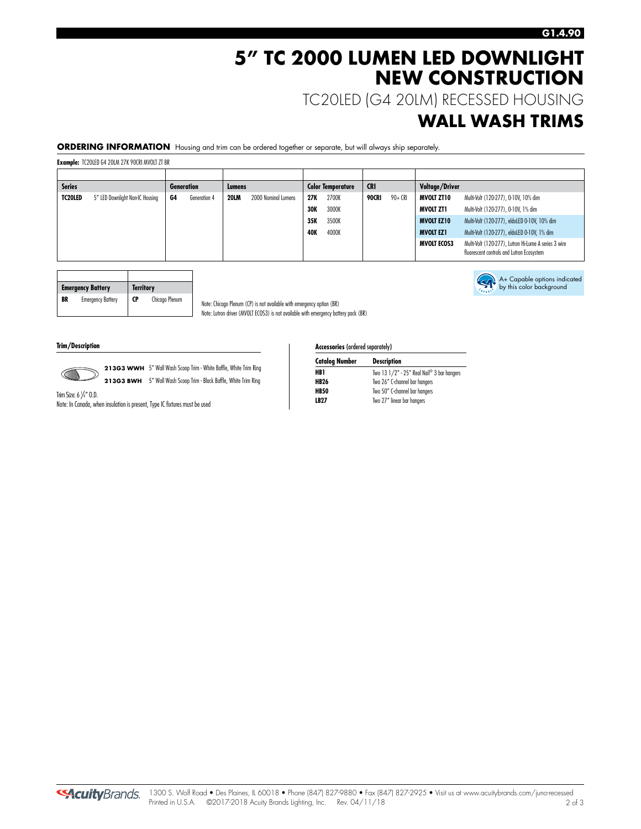A+ Capable options indicated by this color background

# **5" TC 2000 LUMEN LED DOWNLIGHT NEW CONSTRUCTION**

TC20LED (G4 20LM) RECESSED HOUSING

# **WALL WASH TRIMS**

**ORDERING INFORMATION** Housing and trim can be ordered together or separate, but will always ship separately.

**Example:** TC20LED G4 20LM 27K 90CRI MVOLT ZT BR

| <b>Series</b>  | <b>Generation</b>               |    | Lumens       |             | <b>Color Temperature</b> |                     | <b>CRI</b> |                  | Voltage/Driver |                    |                                                                                                   |                   |                                              |                  |                                             |
|----------------|---------------------------------|----|--------------|-------------|--------------------------|---------------------|------------|------------------|----------------|--------------------|---------------------------------------------------------------------------------------------------|-------------------|----------------------------------------------|------------------|---------------------------------------------|
| <b>TC20LED</b> | 5" LED Downlight Non-IC Housing | G4 | Generation 4 | <b>20LM</b> | 2000 Nominal Lumens      | 2700K<br>27K        |            | 90+ CRI<br>90CRI |                | <b>MVOLT ZT10</b>  | Multi-Volt (120-277), 0-10V, 10% dim                                                              |                   |                                              |                  |                                             |
|                |                                 |    |              |             |                          | 3000K<br><b>30K</b> |            |                  |                | <b>MVOLT ZT1</b>   | Multi-Volt (120-277), 0-10V, 1% dim                                                               |                   |                                              |                  |                                             |
|                |                                 |    |              |             |                          | 35K                 | 3500K      |                  |                |                    |                                                                                                   | <b>MVOLT EZ10</b> | Multi-Volt (120-277), eldoLED 0-10V, 10% dim |                  |                                             |
|                |                                 |    |              |             |                          | <b>40K</b>          | 4000K      |                  |                |                    |                                                                                                   |                   |                                              | <b>MVOLT EZ1</b> | Multi-Volt (120-277), eldoLED 0-10V, 1% dim |
|                |                                 |    |              |             |                          |                     |            |                  |                | <b>MVOLT ECOS3</b> | Multi-Volt (120-277), Lutron Hi-Lume A series 3 wire<br>fluorescent controls and Lutron Ecosystem |                   |                                              |                  |                                             |

|    | <b>Emergency Battery</b> | <b>Territory</b> |                |
|----|--------------------------|------------------|----------------|
| BR | <b>Emergency Battery</b> | <b>CP</b>        | Chicago Plenum |

Note: Chicago Plenum (CP) is not available with emergency option (BR) Note: Lutron driver (MVOLT ECOS3) is not available with emergency battery pack (BR)

**Trim/Description** 



213G3 WWH 5" Wall Wash Scoop Trim - White Baffle, White Trim Ring **213G3 BWH** 5" Wall Wash Scoop Trim - Black Baffle, White Trim Ring

Trim Size: 6 1 /4" O.D.

Note: In Canada, when insulation is present, Type IC fixtures must be used

**Accessories** (ordered separately)

| <b>Catalog Number</b> | <b>Description</b>                         |
|-----------------------|--------------------------------------------|
| HB1                   | Two 13 1/2" - 25" Real Nail® 3 bar hangers |
| <b>HB26</b>           | Two 26" C-channel bar hangers              |
| <b>HB50</b>           | Two 50" C-channel bar hangers              |
| <b>LB27</b>           | Two 27" linear bar hangers                 |
|                       |                                            |